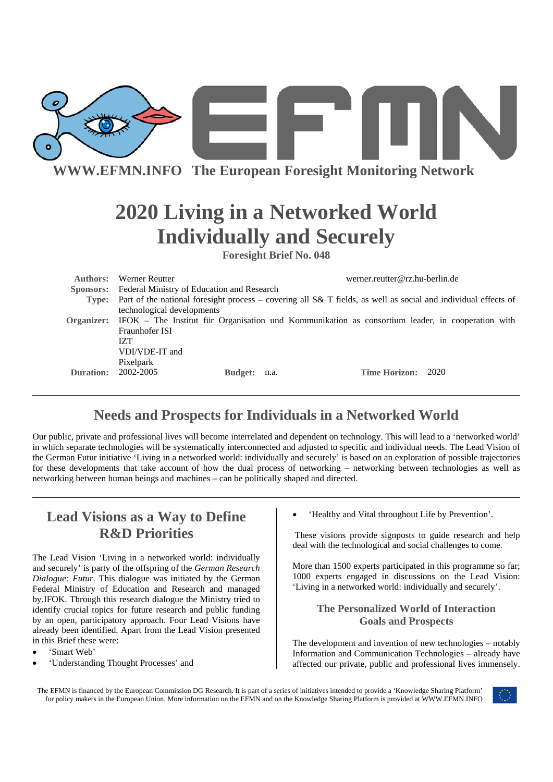

**WWW.EFMN.INFO The European Foresight Monitoring Network**

# **2020 Living in a Networked World Individually and Securely**

**Foresight Brief No. 048** 

| Authors:         | Werner Reutter                                                                                                       |      | werner.reutter@rz.hu-berlin.de |  |
|------------------|----------------------------------------------------------------------------------------------------------------------|------|--------------------------------|--|
| <b>Sponsors:</b> | <b>Federal Ministry of Education and Research</b>                                                                    |      |                                |  |
|                  | Type: Part of the national foresight process – covering all S& T fields, as well as social and individual effects of |      |                                |  |
|                  | technological developments                                                                                           |      |                                |  |
|                  | Organizer: IFOK – The Institut für Organisation und Kommunikation as consortium leader, in cooperation with          |      |                                |  |
|                  | Fraunhofer ISI                                                                                                       |      |                                |  |
|                  | IZT.                                                                                                                 |      |                                |  |
|                  | VDI/VDE-IT and                                                                                                       |      |                                |  |
|                  | Pixelpark                                                                                                            |      |                                |  |
| Duration:        | 2002-2005<br><b>Budget:</b>                                                                                          | n.a. | Time Horizon: 2020             |  |
|                  |                                                                                                                      |      |                                |  |

## **Needs and Prospects for Individuals in a Networked World**

Our public, private and professional lives will become interrelated and dependent on technology. This will lead to a 'networked world' in which separate technologies will be systematically interconnected and adjusted to specific and individual needs. The Lead Vision of the German Futur initiative 'Living in a networked world: individually and securely' is based on an exploration of possible trajectories for these developments that take account of how the dual process of networking – networking between technologies as well as networking between human beings and machines – can be politically shaped and directed.

### **Lead Visions as a Way to Define R&D Priorities**

The Lead Vision 'Living in a networked world: individually and securely' is party of the offspring of the *German Research Dialogue: Futur.* This dialogue was initiated by the German Federal Ministry of Education and Research and managed by.IFOK. Through this research dialogue the Ministry tried to identify crucial topics for future research and public funding by an open, participatory approach. Four Lead Visions have already been identified. Apart from the Lead Vision presented in this Brief these were:

- 'Smart Web'
- 'Understanding Thought Processes' and

• 'Healthy and Vital throughout Life by Prevention'.

These visions provide signposts to guide research and help deal with the technological and social challenges to come.

More than 1500 experts participated in this programme so far; 1000 experts engaged in discussions on the Lead Vision: 'Living in a networked world: individually and securely'.

#### **The Personalized World of Interaction Goals and Prospects**

The development and invention of new technologies – notably Information and Communication Technologies – already have affected our private, public and professional lives immensely.

The EFMN is financed by the European Commission DG Research. It is part of a series of initiatives intended to provide a 'Knowledge Sharing Platform' for policy makers in the European Union. More information on the EFMN and on the Knowledge Sharing Platform is provided at WWW.EFMN.INFO

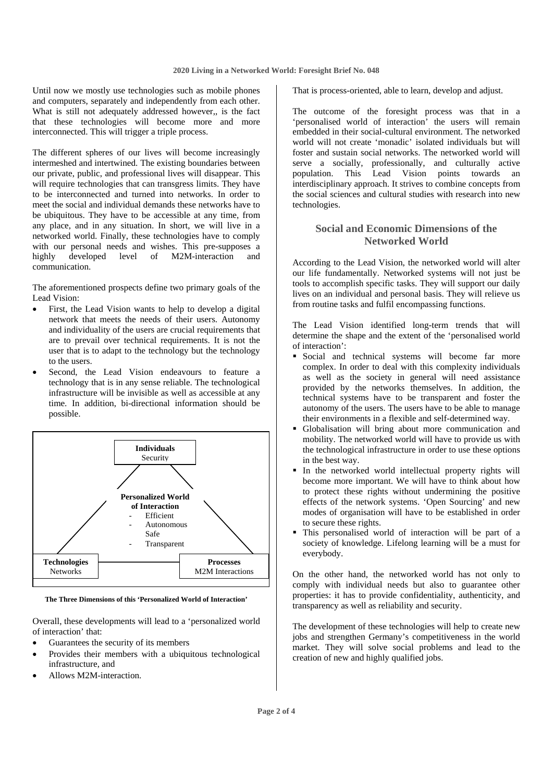Until now we mostly use technologies such as mobile phones and computers, separately and independently from each other. What is still not adequately addressed however,, is the fact that these technologies will become more and more interconnected. This will trigger a triple process.

The different spheres of our lives will become increasingly intermeshed and intertwined. The existing boundaries between our private, public, and professional lives will disappear. This will require technologies that can transgress limits. They have to be interconnected and turned into networks. In order to meet the social and individual demands these networks have to be ubiquitous. They have to be accessible at any time, from any place, and in any situation. In short, we will live in a networked world. Finally, these technologies have to comply with our personal needs and wishes. This pre-supposes a highly developed level of M2M-interaction and communication.

The aforementioned prospects define two primary goals of the Lead Vision:

- First, the Lead Vision wants to help to develop a digital network that meets the needs of their users. Autonomy and individuality of the users are crucial requirements that are to prevail over technical requirements. It is not the user that is to adapt to the technology but the technology to the users.
- Second, the Lead Vision endeavours to feature a technology that is in any sense reliable. The technological infrastructure will be invisible as well as accessible at any time. In addition, bi-directional information should be possible.



**The Three Dimensions of this 'Personalized World of Interaction'**

Overall, these developments will lead to a 'personalized world of interaction' that:

- Guarantees the security of its members
- Provides their members with a ubiquitous technological infrastructure, and
- Allows M2M-interaction.

That is process-oriented, able to learn, develop and adjust.

The outcome of the foresight process was that in a 'personalised world of interaction' the users will remain embedded in their social-cultural environment. The networked world will not create 'monadic' isolated individuals but will foster and sustain social networks. The networked world will serve a socially, professionally, and culturally active population. This Lead Vision points towards an interdisciplinary approach. It strives to combine concepts from the social sciences and cultural studies with research into new technologies.

#### **Social and Economic Dimensions of the Networked World**

According to the Lead Vision, the networked world will alter our life fundamentally. Networked systems will not just be tools to accomplish specific tasks. They will support our daily lives on an individual and personal basis. They will relieve us from routine tasks and fulfil encompassing functions.

The Lead Vision identified long-term trends that will determine the shape and the extent of the 'personalised world of interaction':

- Social and technical systems will become far more complex. In order to deal with this complexity individuals as well as the society in general will need assistance provided by the networks themselves. In addition, the technical systems have to be transparent and foster the autonomy of the users. The users have to be able to manage their environments in a flexible and self-determined way.
- Globalisation will bring about more communication and mobility. The networked world will have to provide us with the technological infrastructure in order to use these options in the best way.
- In the networked world intellectual property rights will become more important. We will have to think about how to protect these rights without undermining the positive effects of the network systems. 'Open Sourcing' and new modes of organisation will have to be established in order to secure these rights.
- This personalised world of interaction will be part of a society of knowledge. Lifelong learning will be a must for everybody.

On the other hand, the networked world has not only to comply with individual needs but also to guarantee other properties: it has to provide confidentiality, authenticity, and transparency as well as reliability and security.

The development of these technologies will help to create new jobs and strengthen Germany's competitiveness in the world market. They will solve social problems and lead to the creation of new and highly qualified jobs.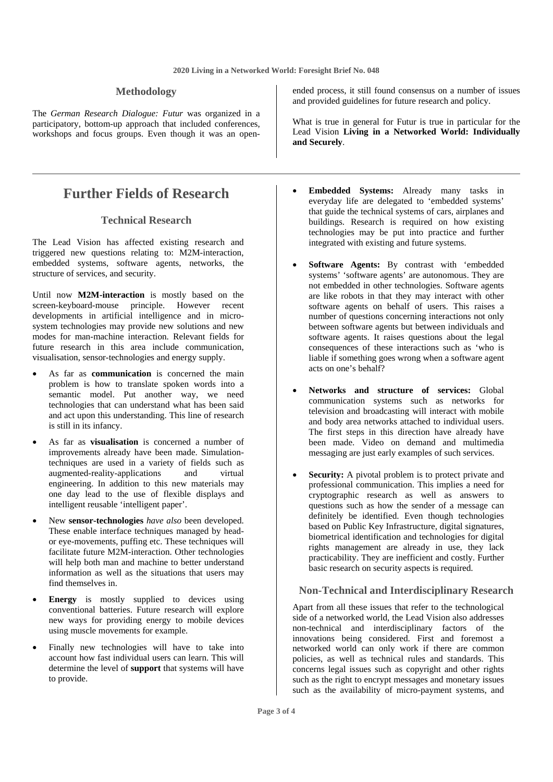#### **Methodology**

The *German Research Dialogue: Futur* was organized in a participatory, bottom-up approach that included conferences, workshops and focus groups. Even though it was an open-

### **Further Fields of Research**

#### **Technical Research**

The Lead Vision has affected existing research and triggered new questions relating to: M2M-interaction, embedded systems, software agents, networks, the structure of services, and security.

Until now **M2M-interaction** is mostly based on the screen-keyboard-mouse principle. However recent developments in artificial intelligence and in microsystem technologies may provide new solutions and new modes for man-machine interaction. Relevant fields for future research in this area include communication, visualisation, sensor-technologies and energy supply.

- As far as **communication** is concerned the main problem is how to translate spoken words into a semantic model. Put another way, we need technologies that can understand what has been said and act upon this understanding. This line of research is still in its infancy.
- As far as **visualisation** is concerned a number of improvements already have been made. Simulationtechniques are used in a variety of fields such as augmented-reality-applications and virtual engineering. In addition to this new materials may one day lead to the use of flexible displays and intelligent reusable 'intelligent paper'.
- New **sensor-technologies** *have also* been developed. These enable interface techniques managed by heador eye-movements, puffing etc. These techniques will facilitate future M2M-interaction. Other technologies will help both man and machine to better understand information as well as the situations that users may find themselves in.
- **Energy** is mostly supplied to devices using conventional batteries. Future research will explore new ways for providing energy to mobile devices using muscle movements for example.
- Finally new technologies will have to take into account how fast individual users can learn. This will determine the level of **support** that systems will have to provide.

ended process, it still found consensus on a number of issues and provided guidelines for future research and policy.

What is true in general for Futur is true in particular for the Lead Vision **Living in a Networked World: Individually and Securely**.

- **Embedded Systems:** Already many tasks in everyday life are delegated to 'embedded systems' that guide the technical systems of cars, airplanes and buildings. Research is required on how existing technologies may be put into practice and further integrated with existing and future systems.
- **Software Agents:** By contrast with 'embedded systems' 'software agents' are autonomous. They are not embedded in other technologies. Software agents are like robots in that they may interact with other software agents on behalf of users. This raises a number of questions concerning interactions not only between software agents but between individuals and software agents. It raises questions about the legal consequences of these interactions such as 'who is liable if something goes wrong when a software agent acts on one's behalf?
- **Networks and structure of services:** Global communication systems such as networks for television and broadcasting will interact with mobile and body area networks attached to individual users. The first steps in this direction have already have been made. Video on demand and multimedia messaging are just early examples of such services.
- **Security:** A pivotal problem is to protect private and professional communication. This implies a need for cryptographic research as well as answers to questions such as how the sender of a message can definitely be identified. Even though technologies based on Public Key Infrastructure, digital signatures, biometrical identification and technologies for digital rights management are already in use, they lack practicability. They are inefficient and costly. Further basic research on security aspects is required.

#### **Non-Technical and Interdisciplinary Research**

Apart from all these issues that refer to the technological side of a networked world, the Lead Vision also addresses non-technical and interdisciplinary factors of the innovations being considered. First and foremost a networked world can only work if there are common policies, as well as technical rules and standards. This concerns legal issues such as copyright and other rights such as the right to encrypt messages and monetary issues such as the availability of micro-payment systems, and